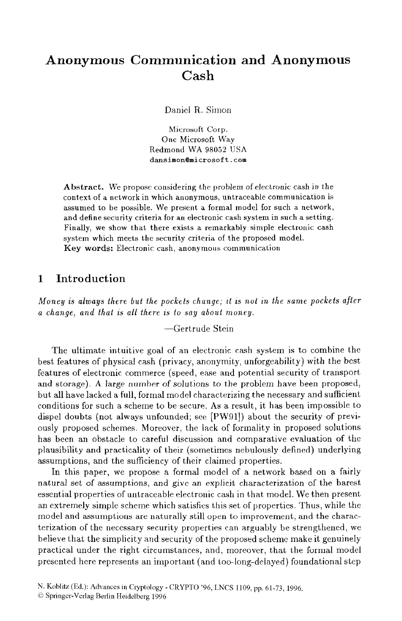# **Anonymous Communication and Anonymous Cash**

Danicl R. Sirnon

Microsoft Corp. One Microsoft Way Redmond WA 98052 USA **dansimon@microsoft.com** 

**Abstract.** We propose considering the problem of electronic cash in the context of a network in which anonymous, untraceable communication is assumed to be possible. We present a formal model for such a network, and define security criteria for an electronic cash system in such a setting. Finally, we show that there exists a remarkably simple electronic cash system which meets the security criteria of the proposed model. **Key words:** Electronic cash, anonymous communication

### **1 Introduction**

*Money is always there but the pockets change; it is not in the same pockets after a change, and that as al[ there* **as** *to say about* money.

-Gertrude Stein

The ultimate intuitive goal of an electronic cash system is to combine the best features of physical cash (privacy, anonymity, unforgeability) with the best features of electronic commerce (speed, ease and potential security of transport and storage). A large number of solutions to the problem have been proposed, but all have lacked a full, formal model characterizing the necessary and sufficient conditions for such a scheme to be secure" **As** a result, it has been impossible to dispel doubts (not always unfounded; see [PW91]) about the security of previously proposed schemes. Moreover, the lack of formality in proposed solutions has been an obstacle to careful discussion and comparative evaluation of the plausibility and practicality of their (sometimes nebulously defined) underlying assumptions, and the sufficiency of their claimed properties.

In this paper, we propose a formal model of a network based on a fairly natural *set* of assumptions, and givc *an* explicit characterization of the barest, essential properties of untraceable electronic cash in that model. We then present an extremely simple scheme which satisfies this set of properties. Thus, while the model and assumptions are naturally still open to improvement, and the characterization of the necessary security properties can arguably be strengthened, we believe that the simplicity and security of the proposed scheme make it genuinely practical under the right circumstances, and, moreover, that the formal model presented here represenk an import2ant (and loo-long-delayed) foundational step

*<sup>0</sup>* Springer-Verlag Berlin Heidelberg 1996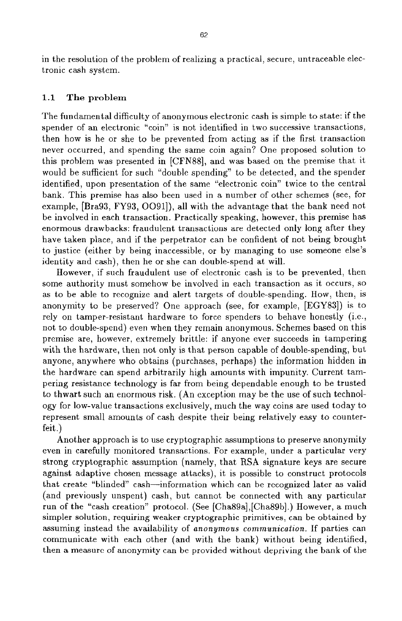in the resolution of the problem of realizing a practical, secure, untraceable electronic cash system.

#### **1.1 The problem**

The fundamental difficulty of anonymous electronic cash is simple to state: if the spender of an electronic "coin" is not identified in two successive transactions, then how is he or she to be prevented from acting as if the first transaction never occurred, and spending the same coin again? One proposed solution to this problem was presented in [CFN88], and was based on the premise that it would be sufficient for such "double spending" to be detected, and the spender identified, upon presentation of the same "electronic coin" twice to the central bank. This premise has also been used in a number of other schemes (see, for example, [Bra93, FY93, 0091]), all with the advantage that the bank need not be involved in each transaction. Practically speaking, however, this premise has enormous drawbacks: fraudulent transactions are detected only long after they have taken place, and if the perpetrator can be confident of not being brought to justice (either by being inaccessible, or by managing to use someone else's identity and cash), then he or she can double-spend at will.

However, if such fraudulent use of electronic cash is to be prevented, then some authority must somehow be involved in each transaction as it occurs, so as to be able to recognize and alert targets of double-spending. How, then, is anonymity to be preserved? One approach (see, for example, [EGY83]) is to rely on tamper-resistant hardware to force spenders to behave honestly (i.e., not to double-spend) even when they remain anonymous. Schemes based on this premise are, however, extremely brittle: if anyone ever succeeds in tampering with the hardware, then not only is that person capable of double-spending, but anyone, anywhere who obtains (purchases, perhaps) the information hidden in the hardware can spend arbitrarily high amounts with impunity. Current tampering resistance technology is far from being dependable enough to be trusted to thwart such an enormous risk. (An exception may be the use of such technology for low-value transactions exclusively, much the way coins are used today to represent small amounts of cash despite their being relatively easy to counterfeit .)

Another approach is to use cryptographic assumptions to preserve anonymity even in carefully monitored transactions. For example, under a particular very strong cryptographic assumption (namely, that RSA signature keys are secure against adaptive chosen message attacks), it is possible to construct protocols that create "blinded" cash-information which can be rccognized later as valid (and previously unspent) cash, but cannot he connected with any particular **run** of the "cash creation" protocol. (See [Cha89a],[Cha89b].) However, a much simpler solution, requiring weaker cryptographic primitives, can be obtained by assuming instead the availability of *anonymous communicataon.* If parties can communicate with each other (and with the bank) without being identified, then a measurc of anonymity can be provided without depriving the bank of the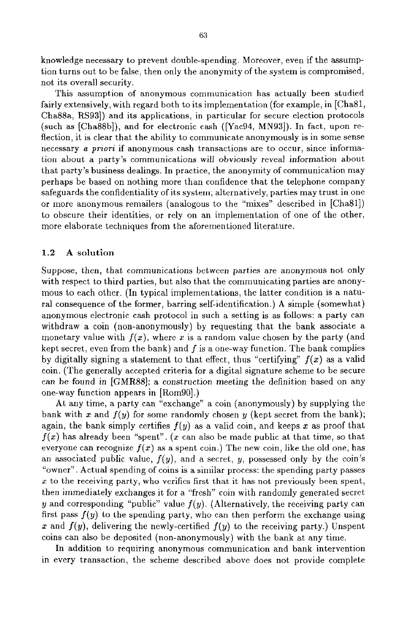knowledge necessary to prevent double-spending. Moreover, even if the assumption turns out to be false, then only the anonymity of the system is compromised, not its overall security,

This assumption **of** anonymous communication has actually been studied fairly extensively, with regard both to its implementation (for example, in [Cha81, Cha88a, RS931) and its applications, in particular for secure election protocols (such **as** [Cha88b]), and for electronic cash ([Yac94, **MNSS]).** In fact, upon reflection, it is clear that the ability to communicate anonymously is in some sense necessary *a pnori* if anonymous cash transactions are to occur, since information about a party's communications will obviously reveal information about that party's business dealings. In practice, the anonymity of communication may perhaps be based on nothing more than confidence that the telephone company safeguards the confidentiality of its system, alternatively, parties may trust in one or more anonymous remailers (analogous to the "mixes" described in [Cha81]) to obscure their identities, or rely on an implementation of one of the other, more elaborate techniques from the aforementioned literature.

#### **1.2 A solution**

Suppose, then, that communications between parties are anonymous not only with respect to third parties, but also that the communicating parties are anonymous to each other. (In typical implementations, the latter condition is a natural consequence of the former, barring self-identification.) A simple (somewhat) anonymous electronic cash protocol in such a setting is as follows: a party can withdraw a coin (non-anonymously) by requesting that the bank associate a monetary value with  $f(x)$ , where x is a random value chosen by the party (and kept secret, even from the bank) and *f* is a one-way function. The bank complies by digitally signing a statement to that effect, thus "certifying"  $f(x)$  as a valid coin. (The generally accepted criteria for a digital signature scheme to be secure *can* **be** found in [GMR88]; a construction meeting the definition based on any one-way function appears in [Rom90].)

At any time, a party can "exchange'' a coin (anonymously) by supplying the bank with x and  $f(y)$  for some randomly chosen y (kept secret from the bank); again, the bank simply certifies  $f(y)$  as a valid coin, and keeps x as proof that *f(x)* has already been "spent". *(x* can also be made public at that time, *so* that everyone can recognize  $f(x)$  as a spent coin.) The new coin, like the old one, has an associated public value,  $f(y)$ , and a secret, y, possessed only by the coin's "owner". Actual spending of coins is a similar process: the spending party passes z to the receiving party, who **vcrifics** first that it has not previously been spent, then immediately exchanges it for a "fresh" coin with randomly generated secret y and corresponding "public" value  $f(y)$ . (Alternatively, the receiving party can first pass  $f(y)$  to the spending party, who can then perform the exchange using x and  $f(y)$ , delivering the newly-certified  $f(y)$  to the receiving party.) Unspent coins can also be deposited (non-anonymously) with the bank at any time.

In addition to requiring anonymous communication and bank intervention in every transaction, the scheme described above does not provide complete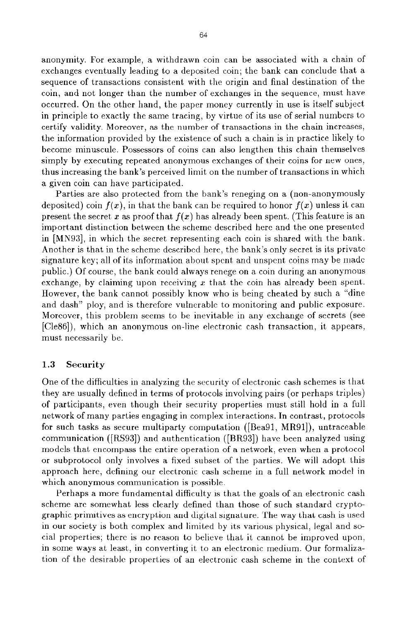anonymity. For example, a withdrawn coin can be associated with a chain of exchanges eventually leading to a deposited coin; the bank can conclude that a sequence of transactions consistent with the origin and final destination of the coin, and not longer than the number of exchanges in the sequence, must have occurred. On the other hand, the paper money currently in use is itself subject in principle to exactly the same tracing, by virtue of its use of serial numbers to certify validity. Moreover, as the number of transactions in the chain increases, the information provided by the existence of such a chain is in practice likely to become minuscule. Possessors of coins can also lengthen this chain themselves simply by executing repeated anonymous exchanges of their coins for new ones, thus increasing the bank's perceived limit on the number of transactions in which a given coin can have participated.

Parties are also protected from the bank's reneging on a (non-anonymously deposited) coin  $f(x)$ , in that the bank can be required to honor  $f(x)$  unless it can present the secret x as proof that  $f(x)$  has already been spent. (This feature is an important distinction between the scheme described here and the one presented in [MN93], in which the secret representing each coin is shared with the bank. Another is that in the scheme described here, the bank's only secret is its private signature key; all of its information about spent and unspent coins may be made public.) Of course, the bank could always renege on a coin during an anonymous exchange, by claiming upon receiving  $x$  that the coin has already been spent. However, the bank cannot possibly know who is being cheated by such a "dine and dash" ploy, and is therefore vulnerable to monitoring and public exposure. Moreover, this problem seerns to be inevitable in any exchange of secrets (see [Cle86]), which an anonymous on-line electronic cash transaction, it appears, must necessarily be.

#### **1.3 Security**

One of the difficulties in analyzing the security of electronic cash schemes is that they are usually defined in terms of protocols involving pairs (or perhaps triples) of participants, even though their security properties must still hold in a full network of many parties engaging in complex interactions. In contrast, protocols for such tasks as secure multiparty computation ([Beagl, MR91]), untraceable communication ([RS93]) and authentication ([BR93]) have been analyzed using models that encornpass the entire operation of a network, even when a protocol or subprotocol only involves a fixed subset of the parties. We will adopt this approach here, defining our electronic cash scheme in a full network model in which anonymous communication is possible

Perhaps a more fundamental difficulty is that the goals of an electronic cash scheme are somewhat less clearly defined than those of such standard cryptographic pririiitives as encryption arid digital sigriature. The way Lha~ **cash** is used in our society is both complex and limited by its various physical, legal and *so*cial properties; there is no reason to believe that it cannot be improved upon, in some ways at least, in converting it to an electronic medium. Our formalization of the desirable properties of an electronic cash scheme in the context of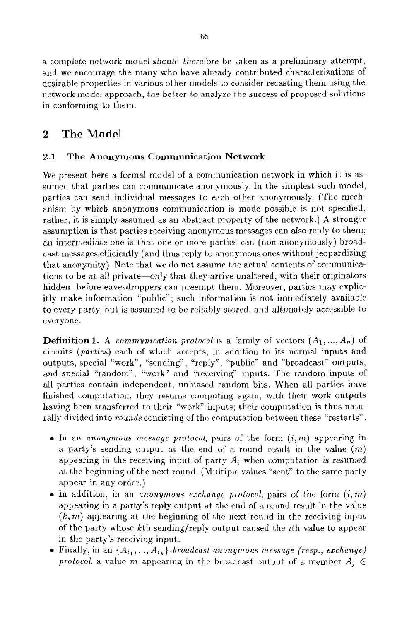a complete network model should therefore be taken as a preliminary attempt, and we encourage the many who have already contributed characterizations of desirable properties in various other models to consider recasting them using the network model approach, the better to analyze the success of proposed solutions in conforming to them.

## 2 The Model

### 2.1 The Anonymous Communication Network

We present here a formal model of a communication network in which it is assumed that parties can communicate anonymously. In the simplest such model, parties can send individual messages to each other anonymously. (The mechanism by which anonymous communication is made possible is not specified; rather, it is simply assumed as an abstract property of the network.) A stronger assumption is that parties receiving anonymous messages can also reply to them; an intermediate one is that one or more parties can (non-anonymously) broadcast messages efficiently (and thus reply to anonymous ones without jeopardizing that anonymity). Note that we do not assume the actual contents of communications to be at all private—only that they arrive unaltered, with their originators hidden, before eavesdroppers can preempt them. Moreover, parties may explicitly make information "public"; such information is not immediately available to every party, but is assumed to be reliably stored, and ultimately accessible to everyone.

**Definition 1.** A *communication protocol* is a family of vectors  $(A_1, ..., A_n)$  of circuits *{parties)* each of which accepts, in addition to its normal inputs and outputs, special "work", "sending", "reply", "public" and "broadcast" outputs, and special "random", "work" and "receiving" inputs. The random inputs of all parties contain independent, unbiased random bits. When all parties have finished computation, they resume computing again, with their work outputs having been transferred to their "work" inputs; their computation is thus naturally divided into *rounds* consisting of the computation between these "restarts".

- In an *anonymous message protocol*, pairs of the form  $(i, m)$  appearing in a party's sending output at the end of a round result in the value  $(m)$ appearing in the receiving input of party *Ai* when computation is resumed at the beginning of the next round. (Multiple values "sent" to the same party appear in any order.)
- In addition, in an *anonymous exchange protocol,* pairs of the form *(i,m)* appearing in a party's reply output at the end of a round result in the value  $(k, m)$  appearing at the beginning of the next round in the receiving input of the party whose Mh sending/reply output caused the *ith* value to appear in the party's receiving input.
- Finally, in an {^4^, ..., *Aik}-broadcast anonymous message (resp., exchange) protocol,* a value *m* appearing in the broadcast output of a member  $A_j \in$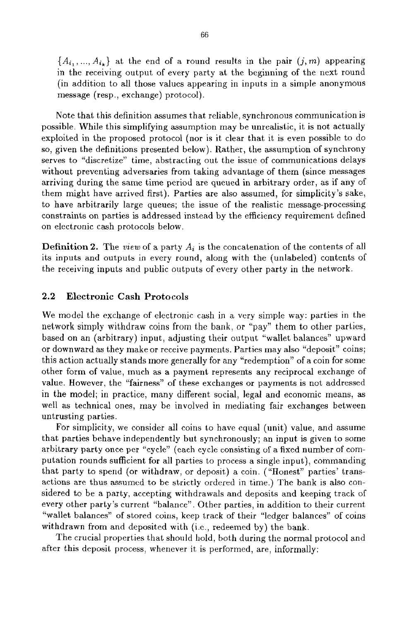${A_i, ..., A_i}$  at the end of a round results in the pair  $(j, m)$  appearing in the receiving output of every party at the beginning of the next round (in addition to all those values appearing in inputs in a simple anonymous message (resp., exchange) protocol).

Note that this definition assumes that reliable, synchronous communication is possible. While this simplifying assumption may be unrealistic, it is not actually exploited in the proposed protocol (nor is it clear that it is even possible to do so, given the definitions presented below). Rather, the assumption of synchrony serves to "discretize" time, abstracting out the issue of communications delays without preventing adversaries from taking advantage of them (since messages arriving during the same time period are queued in arbitrary order, as if any of them might have arrived first). Parties are also assumed, for simplicity's sake, to have arbitrarily large queues; the issue of the realistic message-processing constraints on parties is addressed instead by the efficiency requirement defined on electronic cash protocols below.

**Definition 2.** The *view* of a party  $A_i$  is the concatenation of the contents of all its inputs and outputs in every round, along with the (unlabeled) contents of the receiving inputs and public outputs of every other party in the network.

#### **2.2 Electronic Cash Protocols**

We model the exchange of electronic cash in a very simple way: parties in the network simply withdraw coins from the bank, or "pay" them to other parties, based on an (arbitrary) input, adjusting their output "wallet balances" upward or downward as they make or receive payments. Parties may also "deposit" coins; this action actually stands more generally for any "redemption" of a coin for some other form of value, much **as** a payment represents any reciprocal exchange of value. However, the "fairness" of these exchanges or payments is not addressed in the model; in practice, many different social, legal and economic means, **as**  well as technical ones, may be involved in mediating fair exchanges between untrusting parties.

For simplicity, we consider all coins to have equal (unit) value, and assume that parties behave independently but synchronously; an input is given to some arbitrary party once **per** "cycle" (each cycle consisting of a fixed number of computation rounds sufficient for all parties to process a single input), commanding that party to spend (or withdraw, or deposit) a coin. ("Honest" parties' transactions are thus assumcd to be strictly ordered in time.) The bank is also considered to be a party, accepting withdrawals and deposits and keeping track of every other party's current "balance". Other parties, in addition to their current "wallet balances" of stored coins, keep track of their "ledger balances" of coins withdrawn from and deposited with (i.e., redeemed by) the bank.

The crucial properties that should hold, both during the normal protocol and after this deposil process, whenever it is performed, are, informally: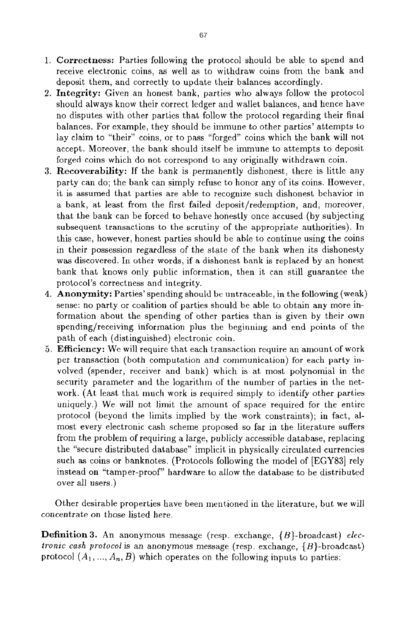- 1. **Correctness:** Parties following the protocol should be able to spend and receive electronic coins, as well as to withdraw coins from the bank and deposit them, and correctly to update their balances accordingly.
- 2. **Integrity:** Given an honest bank, parties who always follow the protocol should always know their correct ledger and wallet balances, and hence have no disputes with other parties that follow the protocol regarding their final balances. For example, they should be immune to other parties' attempts to lay claim to "their" coins, or to pass "forged" coins which the bank will not accept. Moreover, the bank should itself be immune to attempts to deposit forged coins which do not correspond to any originally withdrawn coin.
- **3. Recoverability: If** the bank is permanently dishonest, there is little any party can do; the bank can simply refuse to honor any of its coins. However, it is assumed that parties are able to recognize such dishonest behavior in a bank, at least from the first failed deposit/redemption, and, moreover, that the bank can be forced to behave honestly once accused (by subjecting subsequent transactions to the scrutiny of the appropriate authorities). In this case, however, honest parties should be able to continue using the coins in their possession regardless of the state of the bank when its dishonesty was discovered. In other words, if a dishonest bank is replaced by an honest bank that knows only public information, then it can still guarantee the protocol's correctness and integrity.
- 4. **Anonymity:** Parties' spending should be untraceable, in the following (weak) sense: no party or coalition of parties should be able to obtain any more information about the spending of other parties than is given by their own spending/receiving information plus the beginning and end points of the path of each (distinguished) electronic coin.
- 5. **Efficiency:** We will require that each transaction require an amount of work per transaction (both computation and communication) for each party involved (spender, receiver and bank) which is at most polynomial in the security parameter and the logarithm of the number of parties in the network. (At least that much work is required simply to identify other parties uniquely.) We will not limit the amount of space required for the entire protocol (beyond the limits implied by the work constraints); in fact, almost every electronic cash scheme proposed so far in the literature suffers from the problem of requiring a large, publicly accessible database, replacing the "secure distributed database" implicit in physically circulated currencies such **as** coins or banknotes. (Protocols following the model of [EGY83] rely instead on "tamper-proof" hardware to allow the database to be distributed over all users.)

Other desirable properties have been mentioned in the literature, but we will concentrate on those listed here.

**Definition 3.** An anonymous message (resp. exchange, { B}-broadcast) *electronic cash protocol* is an anonymous message (resp. exchange, { B}-broadcast) protocol  $(A_1, ..., A_n, B)$  which operates on the following inputs to parties: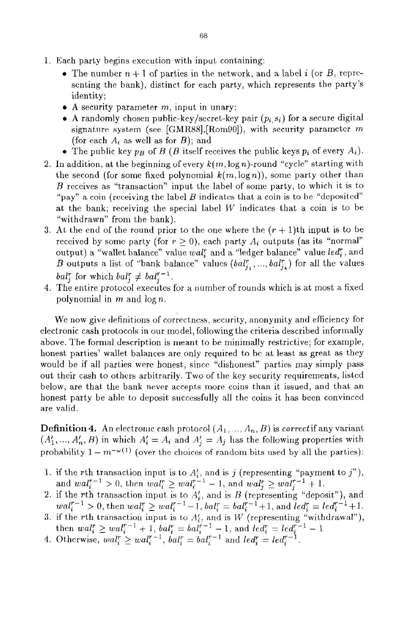- 1. Each party begins execution with input, containing:
	- The number  $n + 1$  of parties in the network, and a label *i* (or *B*, representing the bank), distinct for each party, which represents the party's identity;
	- **A** security parameter *rn,* input in unary:
	- $\bullet$  **A** randomly chosen public-key/secret-key pair  $(p_i, s_i)$  for a secure digital signature system (see [GMR88], [Rom90]), with security parameter *m* (for each *Ai* as well as for *B);* and
	- The public key  $p_B$  of *B* (*B* itself receives the public keys  $p_i$  of every  $A_i$ ).
- 2. In addition, at the beginning of every  $k(m, \log n)$ -round "cycle" starting with the second (for some fixed polynomial  $k(m, \log n)$ ), some party other than *B* receives as "transaction" input the label of some party, to which it is to "pay" a coin (receiving the label *B* indicates that a coin is to be "deposited" at the bank; receiving the special label *W* indicates that a coin is to be "withdrawn" from the bank).
- **3.** At the end of the round prior to the one where the  $(r + 1)$ th input is to be received by some party (for  $r \geq 0$ ), each party  $A_i$  outputs (as its "normal" output) a "wallet balance" value  $wal_i^r$  and a "ledger balance" value  $led_i^r$ , and *B* outputs a list of "bank balance" values  $(bal_{i_1}^r, ..., bal_{i_k}^r)$  for all the values  $bal_i^r$  for which  $bal_i^r \neq bal_i^{r-1}$ .
- **4.** The entire protocol executes for a number of rounds which is at most a fixed polynomial in  $m$  and  $\log n$ .

We now give definitions of correctness, security, anonymity and efficiency for electronic cash protocols in our model, following the criteria described informally above. The formal description is meant to be minirnally restrictive; for example, honest parties' wallet balances are only required to be at least as great as they would be if all parties were honest, since "dishonest" parties may simply pass out their cash to others arbitrarily. Two of the key security requirements, listed below, are that the bank never accepts more coins than it issued, and that an honest party be able to deposit successfully all the coins it has been convinced are valid.

**Definition 4.** An electronic cash protocol  $(A_1, ..., A_n, B)$  is correctif any variant  $(A'_1, ..., A'_n, B)$  in which  $A'_i = A_i$  and  $A'_j = A_j$  has the following properties with probability  $1 - m^{-\omega(1)}$  (over the choices of random bits used by all the parties):

- 1. if the rth transaction input is to  $A'_i$ , and is *j* (representing "payment to *j*"), and  $waf_i^{r-1} > 0$ , then  $waf_i \geq waf_i^{r-1} - 1$ , and  $waf_j \geq waf_j^{r-1} + 1$ .
- 2. if the rth transaction input is to  $A'_i$ , and is *B* (representing "deposit"), and  $wal_i^{r-1} > 0$ , then  $wal_i^r \geq wal_i^{r-1}-1$ ,  $bal_i^r = bal_i^{r-1}+1$ , and  $led_i^r = led_i^{r-1}+1$
- 3. if the rth transaction input is to  $A'_i$ , and is *W* (representing "withdrawal"), then  $wal_i^r \geq wal_i^{r-1} + 1$ ,  $bal_i^r = bal_i^{r-1} 1$ , and  $led_i^r = led_i^{r-1} 1$
- 4. Otherwise,  $wal_i^r \geq wal_i^{r-1}$ ,  $bal_i^r = bal_i^{r-1}$  and  $led_i^r = led_i^{r-1}$ .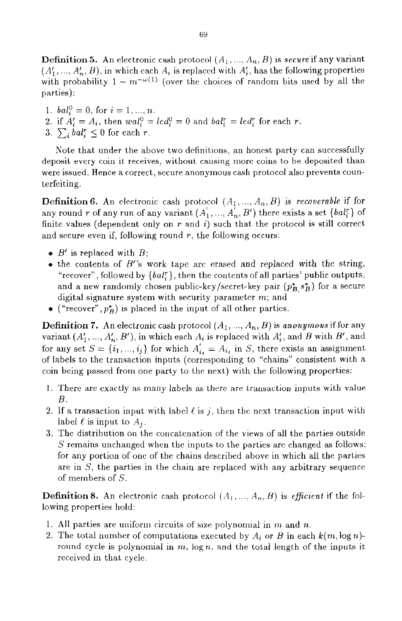**Definition 5.** An electronic cash protocol  $(A_1, ..., A_n, B)$  is *secure* if any variant  $(A'_1, ..., A'_n, B)$ , in which each  $A_i$  is replaced with  $A'_i$ , has the following properties with probability  $1 - m^{-\omega(1)}$  (over the choices of random bits used by all the parties) :

- 1.  $bal_i^0 = 0$ , for  $i = 1, ..., n$ . 2. if  $A'_i = A_i$ , then  $wal_i^0 = led_i^0 = 0$  and  $bal_i^r = led_i^r$  for each *r*.
- 3.  $\sum_i bal_i^r \leq 0$  for each *r*.

Note that under the above two definitions, an honest party can successfully deposil every coin it receives, without causing more coins to be deposited than were issued. Hence a correct, secure anonymous cash protocol also prevents counterfeiting.

**Definition 6.** An electronic cash protocol  $(A_1, ..., A_n, B)$  is *recoverable* if for any round *r* of any run of any variant  $(A'_1, ..., A'_n, B')$  there exists a set  $\{bal_i^r\}$  of finite values (dependent only on r and *i*) such that the protocol is still correct and secure even if, following round *T,* the following occurs.

- $\bullet$  *B'* is replaced with *B*;
- the contents of  $B''s$  work tape are erased and replaced with the string, "recover", followed by  $\{bal_i^r\}$ , then the contents of all parties' public outputs, and a new randomly chosen public-key/secret-key pair  $(p_B^*, s_B^*)$  for a secure digital signature system with security parameter *m*; and
- $\bullet$  ("recover",  $p_B^*$ ) is placed in the input of all other parties.

**Definition 7.** An electronic cash protocol  $(A_1, ..., A_n, B)$  is *anonymous* if for any variant  $(A'_1, ..., A'_n, B')$ , in which each  $A_i$  is replaced with  $A'_i$ , and *B* with *B'*, and for any set  $S = \{i_1, ..., i_j\}$  for which  $A'_{i_j} = A_{i_j}$  in *S*, there exists an assignment of labels to the transaction inputs (corresponding to "chains" consistent with a coin being passed from one party to the next) with the following properties:

- **1.** There are exactly as many labels as there *are trarisaction* inputs with value *B.*
- 2. If a transaction input with label  $\ell$  is j, then the next transaction input with label  $\ell$  is input to  $A_i$ .
- 3. The distribution on the concatenation of the views of all the parties outside *S* remains unchanged when the inputs to the parties are changed as follows: for any portion of one of the chains described above in which all the parties are in  $S$ , the parties in the chain are replaced with any arbitrary sequence. of members of S.

**Definition 8.** An electronic cash protocol  $(A_1, ..., A_n, B)$  is *efficient* if the following properties hold:

- 1. All parties are uniform circuits of size polynomial in m and n.
- 2. The total number of computations executed by  $A_i$  or  $B$  in each  $k(m, \log n)$ round cycle is polynomial in  $m$ ,  $\log n$ , and the total length of the inputs it received in that cycle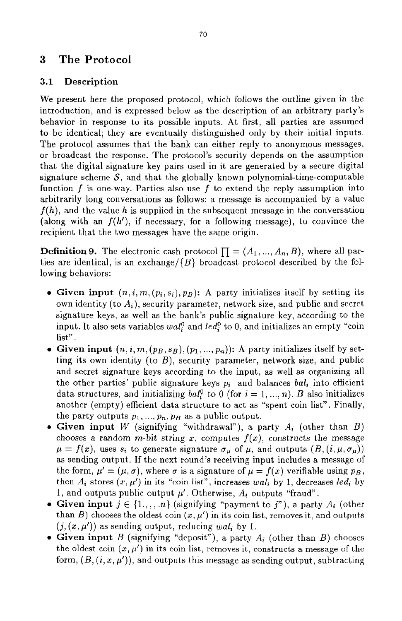### **3 The Protocol**

#### **3.1 Description**

We present here the proposed protocol, which follows the outline given in the introduction, and is expressed below as the description of an arbitrary party's behavior in response to its possible inputs. At first, all parties are assumed to be identical; they are eventually distinguished only by their initial inputs. The protocol assumes that the bank can either reply to anonymous messages, or broadcast the response. The protocol's security depends on the assumption that the digital signature key pairs used in it are generated by **a** secure digital signature scheme  $S$ , and that the globally known polynomial-time-computable function *f* is one-way. Parties also use *f* to extend the reply assumption into arbitrarily long conversations **as** follows: a message is accompanied by a value *f(h),* and the value *h* is supplied in the subsequent message in the conversation (along with an  $f(h')$ , if necessary, for a following message), to convince the recipient that the two messages have the same origin.

**Definition 9.** The electronic cash protocol  $\Pi = (A_1, ..., A_n, B)$ , where all parties are identical, is an exchange/ ${B}$ -broadcast protocol described by the following behaviors:

- Given input  $(n, i, m, (p_i, s_i), p_B)$ : A party initializes itself by setting its own identity (to *Ai),* security parameter, network size, and public and secret signature keys, as well as the bank's public signature key, according to the input. It also sets variables *wal:* and *led:* to 0, and initializes an empty "coin list".
- Given input  $(n, i, m, (p_B, s_B), (p_1, \ldots, p_n))$ : A party initializes itself by setting its own identity (to *B),* security parameter, network size, and public and secret signature keys according to the input, as well as organizing all the other parties' public signature keys  $p_i$  and balances  $bal_i$  into efficient data structures, and initializing *bal*<sup>0</sup> to 0 (for  $i = 1, ..., n$ ). B also initializes another (empty) efficient data structure to act as "spent coin list". Finally, the party outputs  $p_1, ..., p_n, p_B$  as a public output.
- Given input *W* (signifying "withdrawal"), a party  $A_i$  (other than *B*) chooses a random m-bit string x, computes  $f(x)$ , constructs the message  $\mu = f(x)$ , uses  $s_i$  to generate signature  $\sigma_\mu$  of  $\mu$ , and outputs  $(B, (i, \mu, \sigma_\mu))$ **as** sending output. If the next round's receiving input includes a message of the form,  $\mu' = (\mu, \sigma)$ , where  $\sigma$  is a signature of  $\mu = f(x)$  verifiable using  $p_B$ , then  $A_i$  stores  $(x, \mu')$  in its "coin list", increases wal<sub>i</sub> by 1, decreases *led<sub>i</sub>* by 1, and outputs public output  $\mu'$ . Otherwise,  $A_i$  outputs "fraud".
- Given input  $j \in \{1, \ldots, n\}$  (signifying "payment to *j*"), a party  $A_i$  (other than *B*) chooses the oldest coin  $(x, \mu')$  in its coin list, removes it, and outputs  $(j, (x, \mu'))$  as sending output, reducing wal<sub>i</sub> by 1.
- Given input *B* (signifying "deposit"), a party  $A_i$  (other than *B*) chooses the oldest coin  $(x, \mu')$  in its coin list, removes it, constructs a message of the form,  $(B, (i, x, \mu'))$ , and outputs this message as sending output, subtracting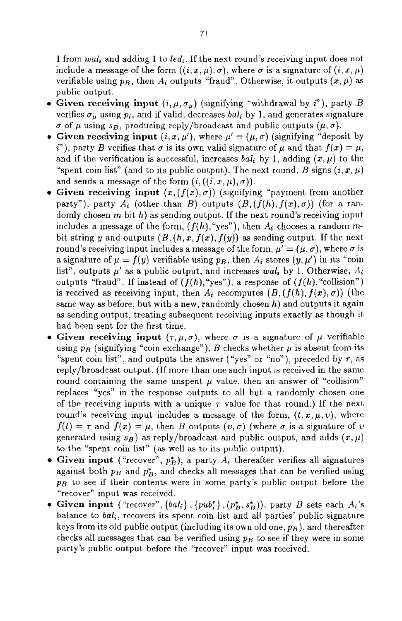1 from *wali* and adding 1 to *ledi.* If the next round's receiving input does not include a message of the form  $((i, x, \mu), \sigma)$ , where  $\sigma$  is a signature of  $(i, x, \mu)$ verifiable using  $p_B$ , then  $A_i$  outputs "fraud". Otherwise, it outputs  $(x, \mu)$  as public output.

- Given receiving input  $(i, \mu, \sigma_{\mu})$  (signifying "withdrawal by i"), party *B* verifies  $\sigma_{\mu}$  using  $p_i$ , and if valid, decreases *bal<sub>i</sub>* by 1, and generates signature  $\sigma$  of  $\mu$  using  $s_B$ , producing reply/broadcast and public outputs  $(\mu, \sigma)$ .
- Given receiving input  $(i, x, \mu')$ , where  $\mu' = (\mu, \sigma)$  (signifying "deposit by *i*"), party *B* verifies that  $\sigma$  is its own valid signature of  $\mu$  and that  $f(x) = \mu$ , and if the verification is successful, increases  $bal<sub>i</sub>$  by 1, adding  $(x, \mu)$  to the "spent coin list" (and to its public output). The next round,  $B$  signs  $(i, x, \mu)$ and sends a message of the form  $(i, ((i, x, \mu), \sigma))$ .
- Given receiving input  $(x, (f(x), \sigma))$  (signifying "payment from another party"), party  $A_i$  (other than *B*) outputs  $(B, (f(h), f(x), \sigma))$  (for a randomly chosen rn-bit *h)* **as** sending output. If the next round's receiving input includes a message of the form,  $(f(h), "yes")$ , then  $A_i$  chooses a random  $m$ bit string y and outputs  $(B, (h, x, f(x), f(y))$  as sending output. If the next round's receiving input includes a message of the form,  $\mu' = (\mu, \sigma)$ , where  $\sigma$  is a signature of  $\mu = f(y)$  verifiable using  $p_B$ , then  $A_i$  stores  $(y, \mu')$  in its "coin list", outputs  $\mu'$  as a public output, and increases *wal*, by 1. Otherwise,  $A_i$ outputs "fraud". If instead of  $(f(h), "yes")$ , a response of  $(f(h), "collision")$ is received as receiving input, then  $A_i$  recomputes  $(B, (f(h), f(x), \sigma))$  (the same way **as** before, but with a new, randomly chosen *h)* and outputs it again as sending output, treating subsequent receiving inputs exactly **as** though it, had been sent for the first time.
- Given receiving input  $(\tau,\mu,\sigma)$ , where  $\sigma$  is a signature of  $\mu$  verifiable using  $p_B$  (signifying "coin exchange"), *B* checks whether  $\mu$  is absent from its "spent coin list", and outputs the answer ("yes" or "no"), preceded by  $\tau$ , as reply/broadcast output. (If more than one such input is received in the same round containing the same unspent  $\mu$  value, then an answer of "collision" replaces "yes" in the response outputs to all but a randomly chosen one of the receiving inputs with a unique  $\tau$  value for that round.) If the next round's receiving input includes a message of the form,  $(t, x, \mu, v)$ , where  $f(t) = \tau$  and  $f(x) = \mu$ , then *B* outputs  $(v, \sigma)$  (where  $\sigma$  is a signature of *v* generated using  $s_B$ ) as reply/broadcast and public output, and adds  $(x, \mu)$ to the "spent coin list" **(as** well as to its public output).
- Given input ("recover",  $p_B^*$ ), a party  $A_i$  thereafter verifies all signatures against both  $p_B$  and  $p_B^*$ , and checks all messages that can be verified using *y~* to see if their contents were in some party's public output before the "recover" input was received.
- Given input  $({}$ "recover",  ${b}al_i$ ,  ${pub}_i^r$ ,  $(p_B^*, s_B^*)$ ), party *B* sets each  $A_i$ 's balance to *bd;,* recovers its spent coin list and all parties' public signature keys from its old public output (including its own old one,  $p_B$ ), and thereafter checks all messages that can be verified using  $p_B$  to see if they were in some party's public output before the "recover" input was received.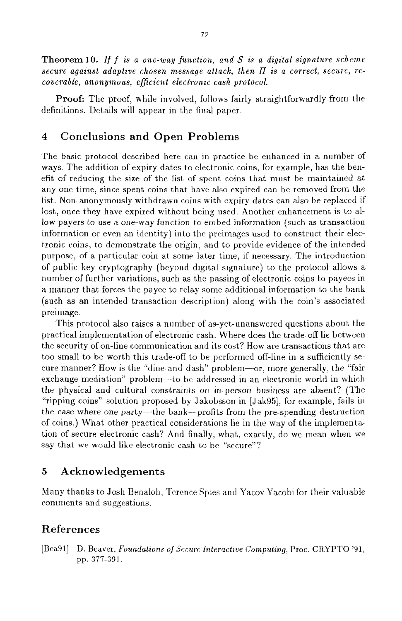**Theorem 10.** If  $f$  is a one-way function, and  $S$  is a digital signature scheme *secure agaanst adaptive chosen message attack, then Il is a correct, secure, recoverable, anonymous, efficient electronic cash protocol.* 

**Proof:** The proof, while involved, follows fairly straightforwardly from the definitions. Details will appear in the final paper.

## **4 Conclusions and Open Problems**

The basic protocol described here can in practice be enhanced in a number of ways. The addition of expiry dates to electronic coins, for example, has the benefit of reducing the size of the list of spent coins that must be maintained at any one time, since spent coins that have also expired can be removed from the list. Non-anonymously withdrawn coins with expiry dates can also be replaced if lost, once they have expired without being used. Another enhancement is to allow payers to use a one-way function to embed information (such as transaction information or even an identity) into the preimages used to construct their electronic coins, to demonstrate the origin, and to provide evidence of the intended purpose, of a particular coin at some later time, if necessary. The introduction of public key cryptography (beyond digital signature) to the protocol allows a number of further variations, such as the passing of electronic coins to payees in a manner that forces the payee to relay some additional information to the bank (such as an intended transaction description) along with the coin's associated preimage.

This protocol also raises a number of as-yet-unanswered questions about the practical implementation of electronic *cash.* Where does the trade-off lie between the security of on-line communication and its cost? How are transactions that are too small to be worth this trade-off to be performed off-line in a sufficiently secure manner? How is the "dine-and-dash" problem-or, more generally, the "fair exchange mediation" problem- --to be addressed in an electronic world in which the physical arid cultural constraints *011* in-person business are absent? (The "ripping coins" solution proposed by Jakobsson in [Jak95], for example, fails iri the case where one party—the bank—profits from the pre-spending destruction of coins.) What other practical considerations lie in the way of the implementation of secure electronic cash? And finally, what, exactly, do we mean when we say that we would like electronic cash to be "secure"?

### **5 Acknowledgements**

Many thanks to Josh Benaloh, Terence Spies and Yacov Yacobi for their valuable comments and suggestions.

### **References**

[Bea91] D. Beaver, *Foundations of Secure Interactive Computing*, Proc. CRYPTO '91, pp. **377-391.**